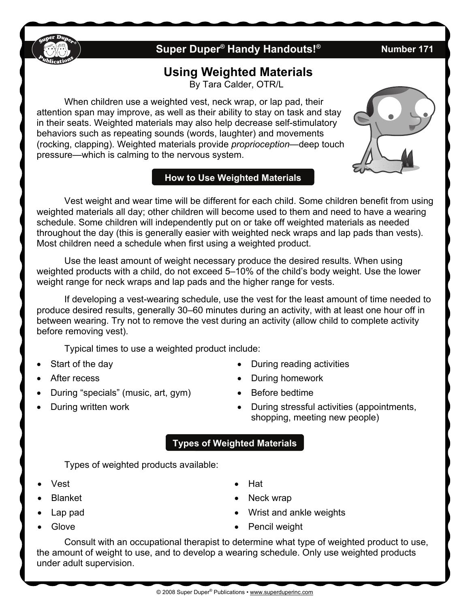## **Super Duper® Handy Handouts!® Number 171**

# **Using Weighted Materials**

By Tara Calder, OTR/L

 When children use a weighted vest, neck wrap, or lap pad, their attention span may improve, as well as their ability to stay on task and stay in their seats. Weighted materials may also help decrease self-stimulatory behaviors such as repeating sounds (words, laughter) and movements (rocking, clapping). Weighted materials provide *proprioception—*deep touch pressure—which is calming to the nervous system.

### **How to Use Weighted Materials**

 Vest weight and wear time will be different for each child. Some children benefit from using weighted materials all day; other children will become used to them and need to have a wearing schedule. Some children will independently put on or take off weighted materials as needed throughout the day (this is generally easier with weighted neck wraps and lap pads than vests). Most children need a schedule when first using a weighted product.

 Use the least amount of weight necessary produce the desired results. When using weighted products with a child, do not exceed 5–10% of the child's body weight. Use the lower weight range for neck wraps and lap pads and the higher range for vests.

 If developing a vest-wearing schedule, use the vest for the least amount of time needed to produce desired results, generally 30–60 minutes during an activity, with at least one hour off in between wearing. Try not to remove the vest during an activity (allow child to complete activity before removing vest).

Typical times to use a weighted product include:

- Start of the day
- After recess
- During "specials" (music, art, gym)
- During written work
- During reading activities
- During homework
- Before bedtime
- During stressful activities (appointments, shopping, meeting new people)
- **Types of Weighted Materials**

Types of weighted products available:

- Vest
- Blanket
- Lap pad
- Glove
- Hat
- Neck wrap
- Wrist and ankle weights
- Pencil weight

 Consult with an occupational therapist to determine what type of weighted product to use, the amount of weight to use, and to develop a wearing schedule. Only use weighted products under adult supervision.



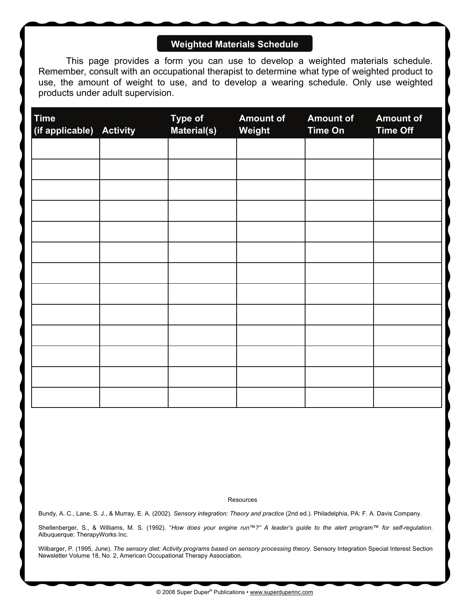### **Weighted Materials Schedule**

 This page provides a form you can use to develop a weighted materials schedule. Remember, consult with an occupational therapist to determine what type of weighted product to use, the amount of weight to use, and to develop a wearing schedule. Only use weighted products under adult supervision.

| <b>Time</b><br>(if applicable) Activity | <b>Type of</b><br>Material(s) | <b>Amount of</b><br>Weight | <b>Amount of</b><br><b>Time On</b> | <b>Amount of</b><br><b>Time Off</b> |
|-----------------------------------------|-------------------------------|----------------------------|------------------------------------|-------------------------------------|
|                                         |                               |                            |                                    |                                     |
|                                         |                               |                            |                                    |                                     |
|                                         |                               |                            |                                    |                                     |
|                                         |                               |                            |                                    |                                     |
|                                         |                               |                            |                                    |                                     |
|                                         |                               |                            |                                    |                                     |
|                                         |                               |                            |                                    |                                     |
|                                         |                               |                            |                                    |                                     |
|                                         |                               |                            |                                    |                                     |
|                                         |                               |                            |                                    |                                     |
|                                         |                               |                            |                                    |                                     |
|                                         |                               |                            |                                    |                                     |
|                                         |                               |                            |                                    |                                     |

**Resources** 

Bundy, A. C., Lane, S. J., & Murray, E. A. (2002). *Sensory integration: Theory and practice* (2nd ed.). Philadelphia, PA: F. A. Davis Company.

Shellenberger, S., & Williams, M. S. (1992). "*How does your engine run™?" A leader's guide to the alert program™ for self-regulation*. Albuquerque: TherapyWorks Inc.

Wilbarger, P. (1995, June). *The sensory diet: Activity programs based on sensory processing theory.* Sensory Integration Special Interest Section Newsletter Volume 18, No. 2, American Occupational Therapy Association.